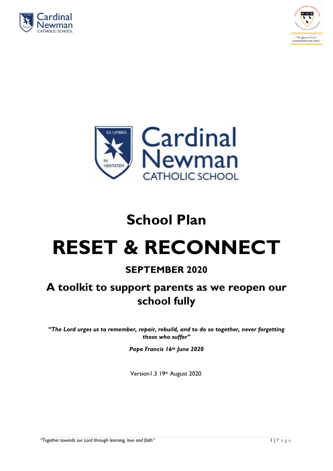





# **School Plan RESET & RECONNECT**

## **SEPTEMBER 2020**

## **A toolkit to support parents as we reopen our school fully**

*"The Lord urges us to remember, repair, rebuild, and to do so together, never forgetting those who suffer"*

*Pope Francis 16th June 2020*

Version1.3 19th August 2020.

*"Together towards our Lord through learning, love and faith"* 1 | P a g e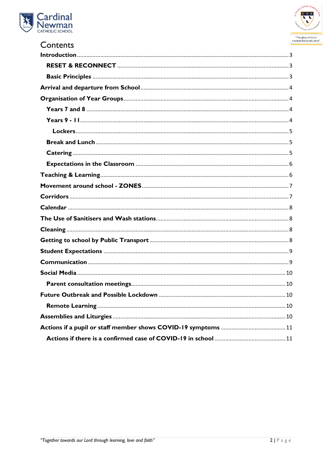



| Contents |  |
|----------|--|
|          |  |
|          |  |
|          |  |
|          |  |
|          |  |
|          |  |
|          |  |
|          |  |
|          |  |
|          |  |
|          |  |
|          |  |
|          |  |
|          |  |
|          |  |
|          |  |
|          |  |
|          |  |
|          |  |
|          |  |
|          |  |
|          |  |
|          |  |
|          |  |
|          |  |
|          |  |
|          |  |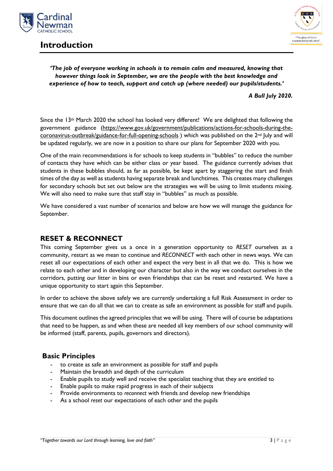

## <span id="page-2-0"></span>**Introduction**



#### *'The job of everyone working in schools is to remain calm and measured, knowing that however things look in September, we are the people with the best knowledge and experience of how to teach, support and catch up (where needed) our pupils/students.'*

*A Bull July 2020.*

Since the 13<sup>th</sup> March 2020 the school has looked very different! We are delighted that following the government guidance [\(https://www.gov.uk/government/publications/actions-for-schools-during-the](https://www.gov.uk/government/publications/actions-for-schools-during-the-coronavirus-outbreak/guidance-for-full-opening-schools)[coronavirus-outbreak/guidance-for-full-opening-schools](https://www.gov.uk/government/publications/actions-for-schools-during-the-coronavirus-outbreak/guidance-for-full-opening-schools) ) which was published on the 2<sup>nd</sup> July and will be updated regularly, we are now in a position to share our plans for September 2020 with you.

One of the main recommendations is for schools to keep students in "bubbles" to reduce the number of contacts they have which can be either class or year based. The guidance currently advises that students in these bubbles should, as far as possible, be kept apart by staggering the start and finish times of the day as well as students having separate break and lunchtimes. This creates many challenges for secondary schools but set out below are the strategies we will be using to limit students mixing. We will also need to make sure that staff stay in "bubbles" as much as possible.

We have considered a vast number of scenarios and below are how we will manage the guidance for September.

### <span id="page-2-1"></span>**RESET & RECONNECT**

This coming September gives us a once in a generation opportunity to *RESET* ourselves as a community, restart as we mean to continue and *RECONNECT* with each other in news ways. We can reset all our expectations of each other and expect the very best in all that we do. This is how we relate to each other and in developing our character but also in the way we conduct ourselves in the corridors, putting our litter in bins or even friendships that can be reset and restarted. We have a unique opportunity to start again this September.

In order to achieve the above safely we are currently undertaking a full Risk Assessment in order to ensure that we can do all that we can to create as safe an environment as possible for staff and pupils.

This document outlines the agreed principles that we will be using. There will of course be adaptations that need to be happen, as and when these are needed all key members of our school community will be informed (staff, parents, pupils, governors and directors).

#### <span id="page-2-2"></span>**Basic Principles**

- to create as safe an environment as possible for staff and pupils
- Maintain the breadth and depth of the curriculum
- Enable pupils to study well and receive the specialist teaching that they are entitled to
- Enable pupils to make rapid progress in each of their subjects
- Provide environments to *reconnect* with friends and develop new friendships
- As a school *reset* our expectations of each other and the pupils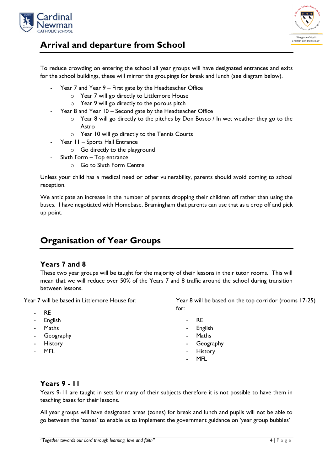



## <span id="page-3-0"></span>**Arrival and departure from School**

To reduce crowding on entering the school all year groups will have designated entrances and exits for the school buildings, these will mirror the groupings for break and lunch (see diagram below).

- Year 7 and Year 9 First gate by the Headteacher Office
	- o Year 7 will go directly to Littlemore House
	- o Year 9 will go directly to the porous pitch
- Year 8 and Year 10 Second gate by the Headteacher Office
	- o Year 8 will go directly to the pitches by Don Bosco / In wet weather they go to the Astro
	- o Year 10 will go directly to the Tennis Courts
- Year 11 Sports Hall Entrance
	- o Go directly to the playground
- Sixth Form Top entrance
	- o Go to Sixth Form Centre

Unless your child has a medical need or other vulnerability, parents should avoid coming to school reception.

We anticipate an increase in the number of parents dropping their children off rather than using the buses. I have negotiated with Homebase, Bramingham that parents can use that as a drop off and pick up point.

## <span id="page-3-1"></span>**Organisation of Year Groups**

#### <span id="page-3-2"></span>**Years 7 and 8**

These two year groups will be taught for the majority of their lessons in their tutor rooms. This will mean that we will reduce over 50% of the Years 7 and 8 traffic around the school during transition between lessons.

Year 7 will be based in Littlemore House for:

- RE
- **English**
- **Maths**
- **Geography**
- **History**
- MFL

Year 8 will be based on the top corridor (rooms 17-25) for:

- R<sub>E</sub>
- **English**
- **Maths**
- **Geography**
- **History**
- MFL

#### <span id="page-3-3"></span>**Years 9 - 11**

Years 9-11 are taught in sets for many of their subjects therefore it is not possible to have them in teaching bases for their lessons.

All year groups will have designated areas (zones) for break and lunch and pupils will not be able to go between the 'zones' to enable us to implement the government guidance on 'year group bubbles'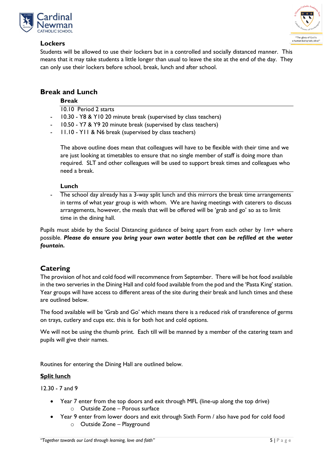

<span id="page-4-0"></span>



Students will be allowed to use their lockers but in a controlled and socially distanced manner. This means that it may take students a little longer than usual to leave the site at the end of the day. They can only use their lockers before school, break, lunch and after school.

#### <span id="page-4-1"></span>**Break and Lunch**

#### **Break**

10.10 Period 2 starts

- 10.30 Y8 & Y10 20 minute break (supervised by class teachers)
- 10.50 Y7 & Y9 20 minute break (supervised by class teachers)
- 11.10 Y11 & N6 break (supervised by class teachers)

The above outline does mean that colleagues will have to be flexible with their time and we are just looking at timetables to ensure that no single member of staff is doing more than required. SLT and other colleagues will be used to support break times and colleagues who need a break.

#### **Lunch**

The school day already has a 3-way split lunch and this mirrors the break time arrangements in terms of what year group is with whom. We are having meetings with caterers to discuss arrangements, however, the meals that will be offered will be 'grab and go' so as to limit time in the dining hall.

Pupils must abide by the Social Distancing guidance of being apart from each other by 1m+ where possible. *Please do ensure you bring your own water bottle that can be refilled at the water fountain.*

#### <span id="page-4-2"></span>**Catering**

The provision of hot and cold food will recommence from September. There will be hot food available in the two serveries in the Dining Hall and cold food available from the pod and the 'Pasta King' station. Year groups will have access to different areas of the site during their break and lunch times and these are outlined below.

The food available will be 'Grab and Go' which means there is a reduced risk of transference of germs on trays, cutlery and cups etc. this is for both hot and cold options.

We will not be using the thumb print. Each till will be manned by a member of the catering team and pupils will give their names.

Routines for entering the Dining Hall are outlined below.

#### **Split lunch**

12.30 - 7 and 9

- Year 7 enter from the top doors and exit through MFL (line-up along the top drive) o Outside Zone – Porous surface
- Year 9 enter from lower doors and exit through Sixth Form / also have pod for cold food o Outside Zone – Playground
- **"Together towards our Lord through learning, love and faith"** 5 | P a g e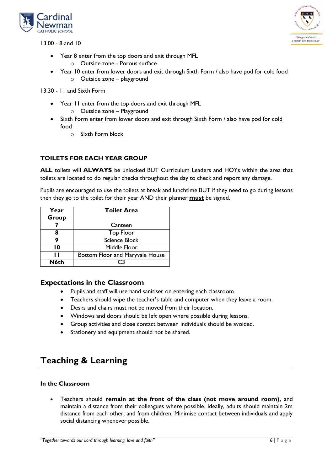

13.00 - 8 and 10



- Year 8 enter from the top doors and exit through MFL
	- o Outside zone Porous surface
- Year 10 enter from lower doors and exit through Sixth Form / also have pod for cold food o Outside zone – playground

13.30 - 11 and Sixth Form

- Year 11 enter from the top doors and exit through MFL
	- o Outside zone Playground
- Sixth Form enter from lower doors and exit through Sixth Form / also have pod for cold food
	- o Sixth Form block

#### **TOILETS FOR EACH YEAR GROUP**

**ALL** toilets will **ALWAYS** be unlocked BUT Curriculum Leaders and HOYs within the area that toilets are located to do regular checks throughout the day to check and report any damage.

Pupils are encouraged to use the toilets at break and lunchtime BUT if they need to go during lessons then they go to the toilet for their year AND their planner **must** be signed.

| Year  | <b>Toilet Area</b>              |
|-------|---------------------------------|
| Group |                                 |
|       | Canteen                         |
|       | <b>Top Floor</b>                |
|       | <b>Science Block</b>            |
| 10    | Middle Floor                    |
| п     | Bottom Floor and Maryvale House |
| N6th  |                                 |

#### <span id="page-5-0"></span>**Expectations in the Classroom**

- Pupils and staff will use hand sanitiser on entering each classroom.
- Teachers should wipe the teacher's table and computer when they leave a room.
- Desks and chairs must not be moved from their location.
- Windows and doors should be left open where possible during lessons.
- Group activities and close contact between individuals should be avoided.
- Stationery and equipment should not be shared.

## <span id="page-5-1"></span>**Teaching & Learning**

#### **In the Classroom**

 Teachers should **remain at the front of the class (not move around room)**, and maintain a distance from their colleagues where possible. Ideally, adults should maintain 2m distance from each other, and from children. Minimise contact between individuals and apply social distancing whenever possible.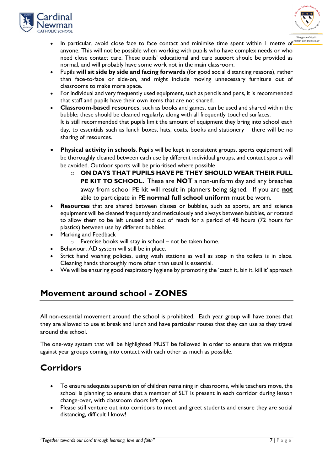



- In particular, avoid close face to face contact and minimise time spent within 1 metre of anyone. This will not be possible when working with pupils who have complex needs or who need close contact care. These pupils' educational and care support should be provided as normal, and will probably have some work not in the main classroom.
- Pupils **will sit side by side and facing forwards** (for good social distancing reasons), rather than face-to-face or side-on, and might include moving unnecessary furniture out of classrooms to make more space.
- For individual and very frequently used equipment, such as pencils and pens, it is recommended that staff and pupils have their own items that are not shared.
- **Classroom-based resources**, such as books and games, can be used and shared within the bubble; these should be cleaned regularly, along with all frequently touched surfaces. It is still recommended that pupils limit the amount of equipment they bring into school each day, to essentials such as lunch boxes, hats, coats, books and stationery – there will be no sharing of resources.
- **Physical activity in schools**. Pupils will be kept in consistent groups, sports equipment will be thoroughly cleaned between each use by different individual groups, and contact sports will be avoided. Outdoor sports will be prioritised where possible
	- o **ON DAYS THAT PUPILS HAVE PE THEY SHOULD WEAR THEIR FULL PE KIT TO SCHOOL.** These are **NOT** a non-uniform day and any breaches away from school PE kit will result in planners being signed. If you are **not** able to participate in PE **normal full school uniform** must be worn.
- **Resources** that are shared between classes or bubbles, such as sports, art and science equipment will be cleaned frequently and meticulously and always between bubbles, or rotated to allow them to be left unused and out of reach for a period of 48 hours (72 hours for plastics) between use by different bubbles.
- Marking and Feedback
	- $\circ$  Exercise books will stay in school not be taken home.
- Behaviour, AD system will still be in place.
- Strict hand washing policies, using wash stations as well as soap in the toilets is in place. Cleaning hands thoroughly more often than usual is essential.
- We will be ensuring good respiratory hygiene by promoting the 'catch it, bin it, kill it' approach

## <span id="page-6-0"></span>**Movement around school - ZONES**

All non-essential movement around the school is prohibited. Each year group will have zones that they are allowed to use at break and lunch and have particular routes that they can use as they travel around the school.

The one-way system that will be highlighted MUST be followed in order to ensure that we mitigate against year groups coming into contact with each other as much as possible.

## <span id="page-6-1"></span>**Corridors**

- To ensure adequate supervision of children remaining in classrooms, while teachers move, the school is planning to ensure that a member of SLT is present in each corridor during lesson change-over, with classroom doors left open.
- Please still venture out into corridors to meet and greet students and ensure they are social distancing, difficult I know!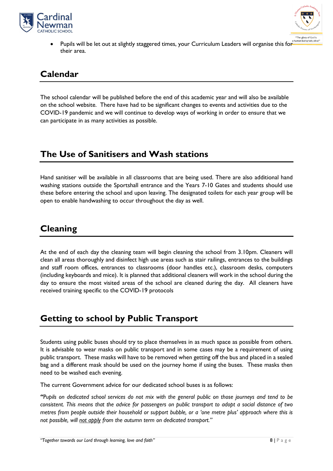



Pupils will be let out at slightly staggered times, your Curriculum Leaders will organise this for their area.

## <span id="page-7-0"></span>**Calendar**

The school calendar will be published before the end of this academic year and will also be available on the school website. There have had to be significant changes to events and activities due to the COVID-19 pandemic and we will continue to develop ways of working in order to ensure that we can participate in as many activities as possible.

## <span id="page-7-1"></span>**The Use of Sanitisers and Wash stations**

Hand sanitiser will be available in all classrooms that are being used. There are also additional hand washing stations outside the Sportshall entrance and the Years 7-10 Gates and students should use these before entering the school and upon leaving. The designated toilets for each year group will be open to enable handwashing to occur throughout the day as well.

## <span id="page-7-2"></span>**Cleaning**

At the end of each day the cleaning team will begin cleaning the school from 3.10pm. Cleaners will clean all areas thoroughly and disinfect high use areas such as stair railings, entrances to the buildings and staff room offices, entrances to classrooms (door handles etc.), classroom desks, computers (including keyboards and mice). It is planned that additional cleaners will work in the school during the day to ensure the most visited areas of the school are cleaned during the day. All cleaners have received training specific to the COVID-19 protocols

## <span id="page-7-3"></span>**Getting to school by Public Transport**

Students using public buses should try to place themselves in as much space as possible from others. It is advisable to wear masks on public transport and in some cases may be a requirement of using public transport. These masks will have to be removed when getting off the bus and placed in a sealed bag and a different mask should be used on the journey home if using the buses. These masks then need to be washed each evening.

The current Government advice for our dedicated school buses is as follows:

"Pupils on dedicated school services do not mix with the general public on those journeys and tend to be consistent. This means that the advice for passengers on public transport to adopt a social distance of two metres from people outside their household or support bubble, or a 'one metre plus' approach where this is *not possible, will not apply from the autumn term on dedicated transport."*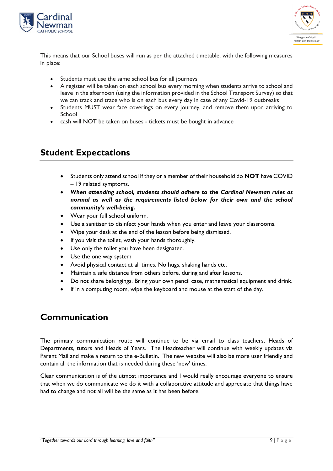



This means that our School buses will run as per the attached timetable, with the following measures in place:

- Students must use the same school bus for all journeys
- A register will be taken on each school bus every morning when students arrive to school and leave in the afternoon (using the information provided in the School Transport Survey) so that we can track and trace who is on each bus every day in case of any Covid-19 outbreaks
- Students MUST wear face coverings on every journey, and remove them upon arriving to School
- cash will NOT be taken on buses tickets must be bought in advance

## <span id="page-8-0"></span>**Student Expectations**

- Students only attend school if they or a member of their household do **NOT** have COVID – 19 related symptoms.
- *When attending school, students should adhere to the Cardinal Newman rules as normal as well as the requirements listed below for their own and the school community's well-being.*
- Wear your full school uniform.
- Use a sanitiser to disinfect your hands when you enter and leave your classrooms.
- Wipe your desk at the end of the lesson before being dismissed.
- If you visit the toilet, wash your hands thoroughly.
- Use only the toilet you have been designated.
- Use the one way system
- Avoid physical contact at all times. No hugs, shaking hands etc.
- Maintain a safe distance from others before, during and after lessons.
- Do not share belongings. Bring your own pencil case, mathematical equipment and drink.
- If in a computing room, wipe the keyboard and mouse at the start of the day.

## <span id="page-8-1"></span>**Communication**

The primary communication route will continue to be via email to class teachers, Heads of Departments, tutors and Heads of Years. The Headteacher will continue with weekly updates via Parent Mail and make a return to the e-Bulletin. The new website will also be more user friendly and contain all the information that is needed during these 'new' times.

Clear communication is of the utmost importance and I would really encourage everyone to ensure that when we do communicate we do it with a collaborative attitude and appreciate that things have had to change and not all will be the same as it has been before.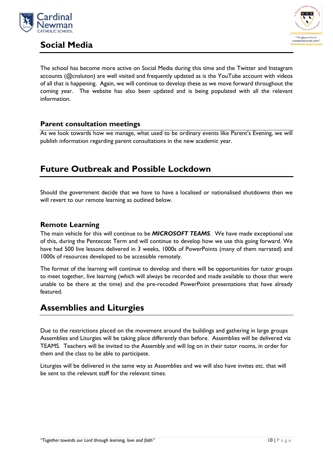

<span id="page-9-0"></span>



The school has become more active on Social Media during this time and the Twitter and Instagram accounts (@cnsluton) are well visited and frequently updated as is the YouTube account with videos of all that is happening. Again, we will continue to develop these as we move forward throughout the coming year. The website has also been updated and is being populated with all the relevant information.

#### <span id="page-9-1"></span>**Parent consultation meetings**

As we look towards how we manage, what used to be ordinary events like Parent's Evening, we will publish information regarding parent consultations in the new academic year.

## <span id="page-9-2"></span>**Future Outbreak and Possible Lockdown**

Should the government decide that we have to have a localised or nationalised shutdowns then we will revert to our remote learning as outlined below.

#### <span id="page-9-3"></span>**Remote Learning**

The main vehicle for this will continue to be *MICROSOFT TEAMS*. We have made exceptional use of this, during the Pentecost Term and will continue to develop how we use this going forward. We have had 500 live lessons delivered in 3 weeks, 1000s of PowerPoints (many of them narrated) and 1000s of resources developed to be accessible remotely.

The format of the learning will continue to develop and there will be opportunities for tutor groups to meet together, live learning (which will always be recorded and made available to those that were unable to be there at the time) and the pre-recoded PowerPoint presentations that have already featured.

## <span id="page-9-4"></span>**Assemblies and Liturgies**

Due to the restrictions placed on the movement around the buildings and gathering in large groups Assemblies and Liturgies will be taking place differently than before. Assemblies will be delivered via TEAMS. Teachers will be invited to the Assembly and will log on in their tutor rooms, in order for them and the class to be able to participate.

Liturgies will be delivered in the same way as Assemblies and we will also have invites etc. that will be sent to the relevant staff for the relevant times.